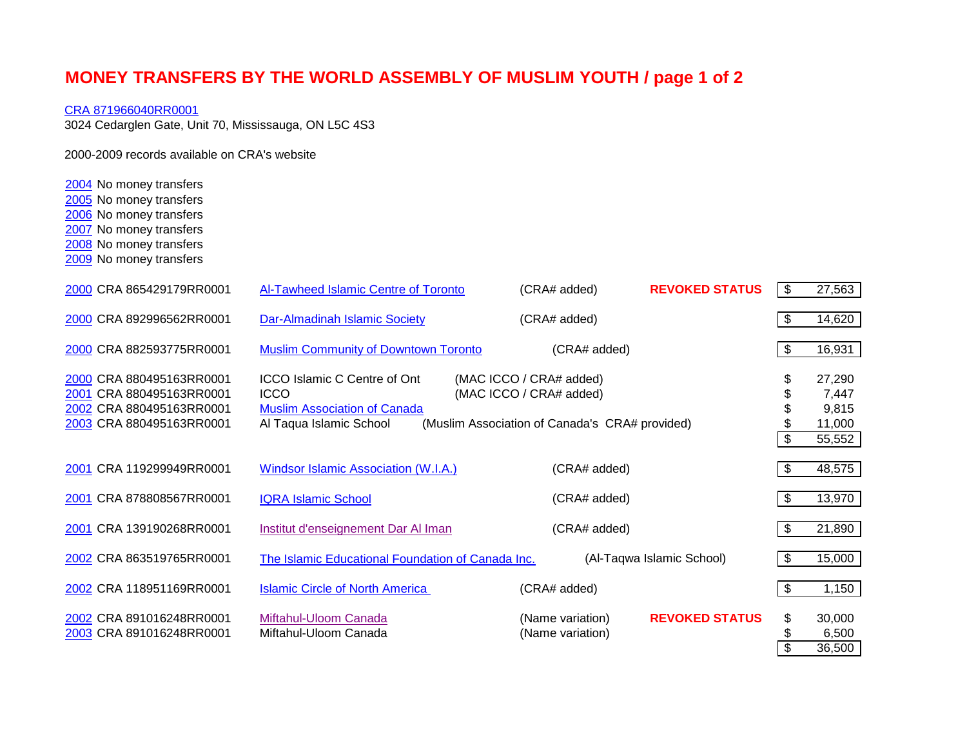## **MONEY TRANSFERS BY THE WORLD ASSEMBLY OF MUSLIM YOUTH / page 1 of 2**

## [CRA 871966040RR0001](http://www.cra-arc.gc.ca/ebci/haip/srch/charity-eng.action?r=http://www.cra-arc.gc.ca:80/ebci/haip/srch/basicsearchresult-eng.action?k%3Dtrue%26amp%3b&bn=871966040RR0001)

3024 Cedarglen Gate, Unit 70, Mississauga, ON L5C 4S3

2000-2009 records available on CRA's website

No money transfers

- No money transfers
- No money transfers
- No money transfers
- No money transfers
- No money transfers

| 2000 CRA 865429179RR0001                                                                                     | Al-Tawheed Islamic Centre of Toronto                                                                                 | (CRA# added)                                                                                         | <b>REVOKED STATUS</b>     | \$<br>27,563                                       |
|--------------------------------------------------------------------------------------------------------------|----------------------------------------------------------------------------------------------------------------------|------------------------------------------------------------------------------------------------------|---------------------------|----------------------------------------------------|
| 2000 CRA 892996562RR0001                                                                                     | Dar-Almadinah Islamic Society                                                                                        | (CRA# added)                                                                                         |                           | \$<br>14,620                                       |
| 2000 CRA 882593775RR0001                                                                                     | <b>Muslim Community of Downtown Toronto</b>                                                                          | (CRA# added)                                                                                         |                           | \$<br>16,931                                       |
| 2000 CRA 880495163RR0001<br>2001 CRA 880495163RR0001<br>2002 CRA 880495163RR0001<br>2003 CRA 880495163RR0001 | <b>ICCO Islamic C Centre of Ont</b><br><b>ICCO</b><br><b>Muslim Association of Canada</b><br>Al Taqua Islamic School | (MAC ICCO / CRA# added)<br>(MAC ICCO / CRA# added)<br>(Muslim Association of Canada's CRA# provided) |                           | \$<br>27,290<br>7,447<br>9,815<br>11,000<br>55,552 |
| 2001 CRA 119299949RR0001                                                                                     | Windsor Islamic Association (W.I.A.)                                                                                 | (CRA# added)                                                                                         |                           | \$<br>48,575                                       |
| 2001 CRA 878808567RR0001                                                                                     | <b>IQRA Islamic School</b>                                                                                           | (CRA# added)                                                                                         |                           | \$<br>13,970                                       |
| 2001 CRA 139190268RR0001                                                                                     | Institut d'enseignement Dar Al Iman                                                                                  | (CRA# added)                                                                                         |                           | \$<br>21,890                                       |
| 2002 CRA 863519765RR0001                                                                                     | The Islamic Educational Foundation of Canada Inc.                                                                    |                                                                                                      | (Al-Taqwa Islamic School) | \$<br>15,000                                       |
| 2002 CRA 118951169RR0001                                                                                     | <b>Islamic Circle of North America</b>                                                                               | (CRA# added)                                                                                         |                           | \$<br>1,150                                        |
| 2002 CRA 891016248RR0001<br>2003 CRA 891016248RR0001                                                         | Miftahul-Uloom Canada<br>Miftahul-Uloom Canada                                                                       | (Name variation)<br>(Name variation)                                                                 | <b>REVOKED STATUS</b>     | \$<br>30,000<br>6,500<br>36,500                    |